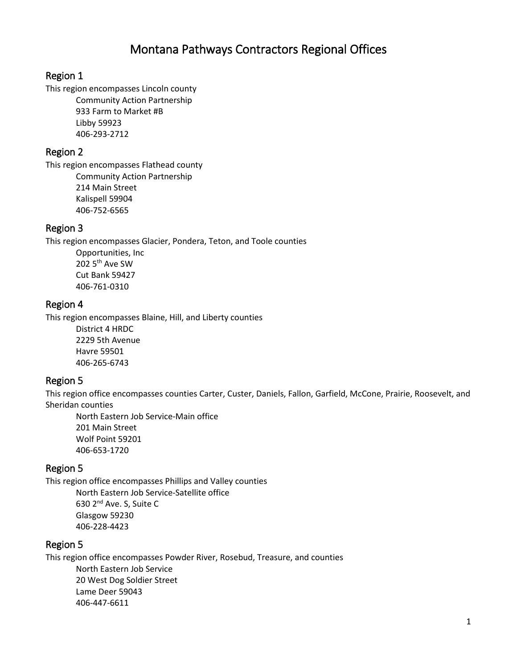# Montana Pathways Contractors Regional Offices

#### Region 1

This region encompasses Lincoln county Community Action Partnership 933 Farm to Market #B Libby 59923 406-293-2712

### Region 2

This region encompasses Flathead county Community Action Partnership 214 Main Street Kalispell 59904 406-752-6565

#### Region 3

This region encompasses Glacier, Pondera, Teton, and Toole counties

Opportunities, Inc 202 5<sup>th</sup> Ave SW Cut Bank 59427 406-761-0310

#### Region 4

This region encompasses Blaine, Hill, and Liberty counties

District 4 HRDC 2229 5th Avenue Havre 59501 406-265-6743

#### Region 5

This region office encompasses counties Carter, Custer, Daniels, Fallon, Garfield, McCone, Prairie, Roosevelt, and Sheridan counties

North Eastern Job Service-Main office 201 Main Street Wolf Point 59201 406-653-1720

#### Region 5

This region office encompasses Phillips and Valley counties North Eastern Job Service-Satellite office

630 2nd Ave. S, Suite C Glasgow 59230 406-228-4423

#### Region 5

This region office encompasses Powder River, Rosebud, Treasure, and counties North Eastern Job Service 20 West Dog Soldier Street Lame Deer 59043 406-447-6611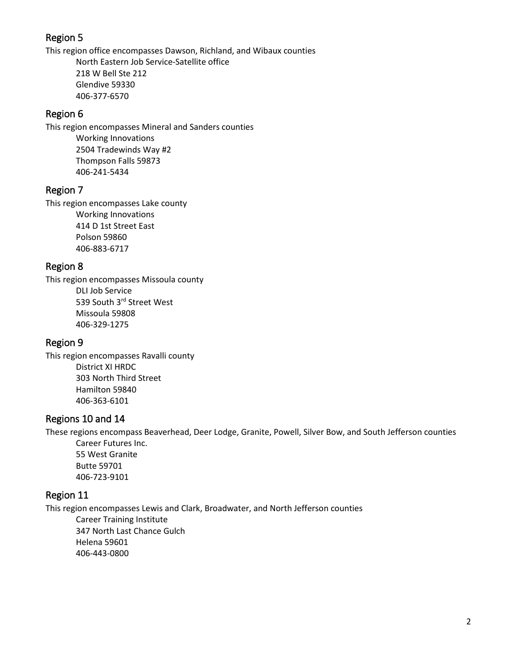# Region 5

This region office encompasses Dawson, Richland, and Wibaux counties North Eastern Job Service-Satellite office 218 W Bell Ste 212 Glendive 59330 406-377-6570

### Region 6

This region encompasses Mineral and Sanders counties Working Innovations 2504 Tradewinds Way #2 Thompson Falls 59873 406-241-5434

# Region 7

This region encompasses Lake county Working Innovations 414 D 1st Street East Polson 59860 406-883-6717

# Region 8

This region encompasses Missoula county DLI Job Service 539 South 3rd Street West Missoula 59808 406-329-1275

# Region 9

This region encompasses Ravalli county District XI HRDC 303 North Third Street Hamilton 59840 406-363-6101

# Regions 10 and 14

These regions encompass Beaverhead, Deer Lodge, Granite, Powell, Silver Bow, and South Jefferson counties Career Futures Inc.

55 West Granite Butte 59701 406-723-9101

# Region 11

This region encompasses Lewis and Clark, Broadwater, and North Jefferson counties

Career Training Institute 347 North Last Chance Gulch Helena 59601 406-443-0800